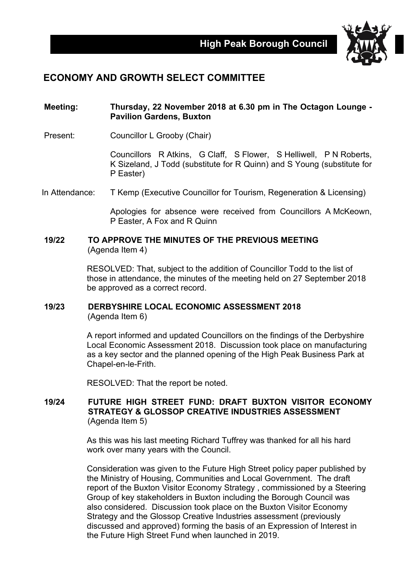

# **ECONOMY AND GROWTH SELECT COMMITTEE**

### **Meeting: Thursday, 22 November 2018 at 6.30 pm in The Octagon Lounge - Pavilion Gardens, Buxton**

Present: Councillor L Grooby (Chair)

Councillors R Atkins, G Claff, S Flower, S Helliwell, P N Roberts, K Sizeland, J Todd (substitute for R Quinn) and S Young (substitute for P Easter)

In Attendance: T Kemp (Executive Councillor for Tourism, Regeneration & Licensing)

Apologies for absence were received from Councillors A McKeown, P Easter, A Fox and R Quinn

#### **19/22 TO APPROVE THE MINUTES OF THE PREVIOUS MEETING** (Agenda Item 4)

RESOLVED: That, subject to the addition of Councillor Todd to the list of those in attendance, the minutes of the meeting held on 27 September 2018 be approved as a correct record.

## **19/23 DERBYSHIRE LOCAL ECONOMIC ASSESSMENT 2018** (Agenda Item 6)

A report informed and updated Councillors on the findings of the Derbyshire Local Economic Assessment 2018. Discussion took place on manufacturing as a key sector and the planned opening of the High Peak Business Park at Chapel-en-le-Frith.

RESOLVED: That the report be noted.

#### **19/24 FUTURE HIGH STREET FUND: DRAFT BUXTON VISITOR ECONOMY STRATEGY & GLOSSOP CREATIVE INDUSTRIES ASSESSMENT** (Agenda Item 5)

As this was his last meeting Richard Tuffrey was thanked for all his hard work over many years with the Council.

Consideration was given to the Future High Street policy paper published by the Ministry of Housing, Communities and Local Government. The draft report of the Buxton Visitor Economy Strategy , commissioned by a Steering Group of key stakeholders in Buxton including the Borough Council was also considered. Discussion took place on the Buxton Visitor Economy Strategy and the Glossop Creative Industries assessment (previously discussed and approved) forming the basis of an Expression of Interest in the Future High Street Fund when launched in 2019.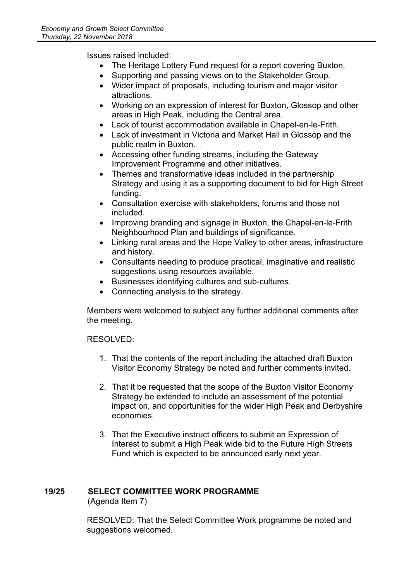Issues raised included:

- The Heritage Lottery Fund request for a report covering Buxton.
- Supporting and passing views on to the Stakeholder Group.
- Wider impact of proposals, including tourism and major visitor attractions.
- Working on an expression of interest for Buxton, Glossop and other areas in High Peak, including the Central area.
- Lack of tourist accommodation available in Chapel-en-le-Frith.
- Lack of investment in Victoria and Market Hall in Glossop and the public realm in Buxton.
- Accessing other funding streams, including the Gateway Improvement Programme and other initiatives.
- Themes and transformative ideas included in the partnership Strategy and using it as a supporting document to bid for High Street funding.
- Consultation exercise with stakeholders, forums and those not included.
- Improving branding and signage in Buxton, the Chapel-en-le-Frith Neighbourhood Plan and buildings of significance.
- Linking rural areas and the Hope Valley to other areas, infrastructure and history.
- Consultants needing to produce practical, imaginative and realistic suggestions using resources available.
- Businesses identifying cultures and sub-cultures.
- Connecting analysis to the strategy.

Members were welcomed to subject any further additional comments after the meeting.

RESOLVED:

- 1. That the contents of the report including the attached draft Buxton Visitor Economy Strategy be noted and further comments invited.
- 2. That it be requested that the scope of the Buxton Visitor Economy Strategy be extended to include an assessment of the potential impact on, and opportunities for the wider High Peak and Derbyshire economies.
- 3. That the Executive instruct officers to submit an Expression of Interest to submit a High Peak wide bid to the Future High Streets Fund which is expected to be announced early next year.

## **19/25 SELECT COMMITTEE WORK PROGRAMME**

(Agenda Item 7)

RESOLVED: That the Select Committee Work programme be noted and suggestions welcomed.